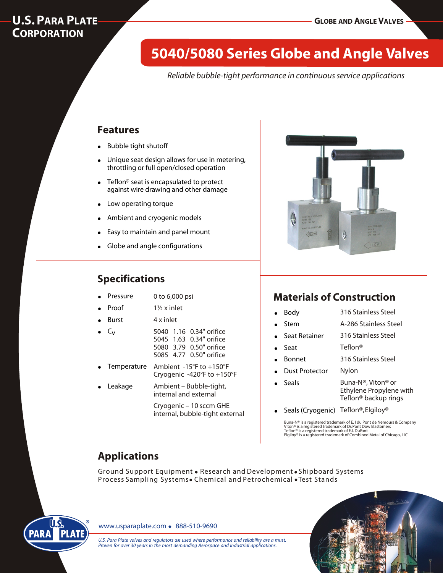## **U.S. PARA PLATE CORPORATION**

# **5040/5080 Series Globe and Angle Valves**

*Reliable bubble-tight performance in continuous service applications*

## **Features**

- **Bubble tight shutoff**
- Unique seat design allows for use in metering, throttling or full open/closed operation
- Teflon<sup>®</sup> seat is encapsulated to protect against wire drawing and other damage
- Low operating torque
- Ambient and cryogenic models
- Easy to maintain and panel mount
- Globe and angle configurations

## **Specifications**

- 0 to 6,000 psi **Pressure**
- 1½ x inlet **Proof**
- 4 x inlet **Burst**
- $C_{V}$
- 5040 1.16 0.34" orifice 5045 1.63 0.34" orifice 5080 3.79 0.50" orifice 5085 4.77 0.50" orifice
- Ambient -15°F to +150°F Cryogenic -420°F to +150°F **Temperature**
- Ambient Bubble-tight, internal and external **Leakage**

Cryogenic – 10 sccm GHE internal, bubble-tight external



## **Materials of Construction**

| 316 Stainless Steel |  |
|---------------------|--|
|---------------------|--|

- A-286 Stainless Steel ! Stem
- 316 Stainless Steel Seat Retainer
- Teflon® ! Seat
- 316 Stainless Steel **Bonnet**
- Nylon Dust Protector

**Body** 

! Seals

- Buna-N®, Viton® or Ethylene Propylene with Teflon® backup rings
- Seals (Cryogenic) Teflon®, Elgiloy®

Buna-N® is a registered trademark of E. I du Pont de Nemours & Company Viton® is a registered trademark of DuPont Dow Elastomers Teflon® is a registered trademark of E.I. DuPont Elgiloy® is a registered trademark of Combined Metal of Chicago, LLC

# **Applications**

Ground Support Equipment . Research and Development . Shipboard Systems Process Sampling Systems. Chemical and Petrochemical . Test Stands



www.usparaplate.com • 888-510-9690

U.S. Para Plate valves and regulators are used where performance and reliability are a must. *Proven for over 30 years in the most demanding Aerospace and Industrial applications.*